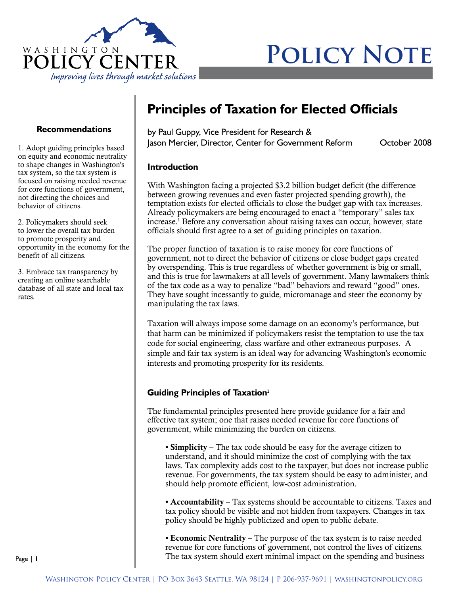

# **POLICY NOTE**

#### **Recommendations**

1. Adopt guiding principles based on equity and economic neutrality to shape changes in Washington's tax system, so the tax system is focused on raising needed revenue for core functions of government, not directing the choices and behavior of citizens.

2. Policymakers should seek to lower the overall tax burden to promote prosperity and opportunity in the economy for the benefit of all citizens.

3. Embrace tax transparency by creating an online searchable database of all state and local tax rates.

# **Principles of Taxation for Elected Officials**

by Paul Guppy, Vice President for Research & Jason Mercier, Director, Center for Government Reform October 2008

#### **Introduction**

With Washington facing a projected \$3.2 billion budget deficit (the difference between growing revenues and even faster projected spending growth), the temptation exists for elected officials to close the budget gap with tax increases. Already policymakers are being encouraged to enact a "temporary" sales tax increase.1 Before any conversation about raising taxes can occur, however, state officials should first agree to a set of guiding principles on taxation.

The proper function of taxation is to raise money for core functions of government, not to direct the behavior of citizens or close budget gaps created by overspending. This is true regardless of whether government is big or small, and this is true for lawmakers at all levels of government. Many lawmakers think of the tax code as a way to penalize "bad" behaviors and reward "good" ones. They have sought incessantly to guide, micromanage and steer the economy by manipulating the tax laws.

Taxation will always impose some damage on an economy's performance, but that harm can be minimized if policymakers resist the temptation to use the tax code for social engineering, class warfare and other extraneous purposes. A simple and fair tax system is an ideal way for advancing Washington's economic interests and promoting prosperity for its residents.

#### **Guiding Principles of Taxation**<sup>2</sup>

The fundamental principles presented here provide guidance for a fair and effective tax system; one that raises needed revenue for core functions of government, while minimizing the burden on citizens.

• **Simplicity** – The tax code should be easy for the average citizen to understand, and it should minimize the cost of complying with the tax laws. Tax complexity adds cost to the taxpayer, but does not increase public revenue. For governments, the tax system should be easy to administer, and should help promote efficient, low-cost administration.

• Accountability – Tax systems should be accountable to citizens. Taxes and tax policy should be visible and not hidden from taxpayers. Changes in tax policy should be highly publicized and open to public debate.

• Economic Neutrality – The purpose of the tax system is to raise needed revenue for core functions of government, not control the lives of citizens. The tax system should exert minimal impact on the spending and business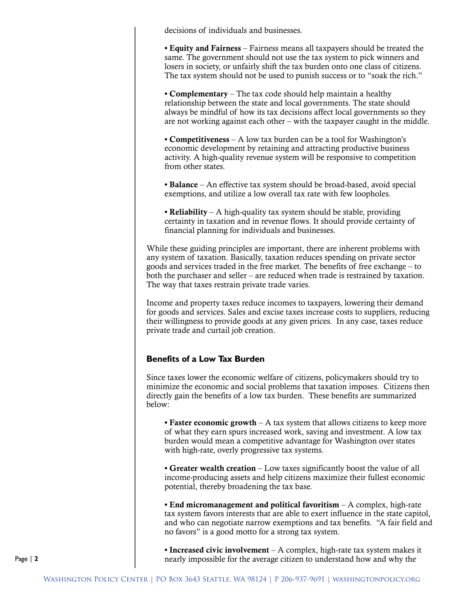decisions of individuals and businesses.

• Equity and Fairness – Fairness means all taxpayers should be treated the same. The government should not use the tax system to pick winners and losers in society, or unfairly shift the tax burden onto one class of citizens. The tax system should not be used to punish success or to "soak the rich."

• **Complementary** – The tax code should help maintain a healthy relationship between the state and local governments. The state should always be mindful of how its tax decisions affect local governments so they are not working against each other – with the taxpayer caught in the middle.

• Competitiveness – A low tax burden can be a tool for Washington's economic development by retaining and attracting productive business activity. A high-quality revenue system will be responsive to competition from other states.

• Balance – An effective tax system should be broad-based, avoid special exemptions, and utilize a low overall tax rate with few loopholes.

• Reliability – A high-quality tax system should be stable, providing certainty in taxation and in revenue flows. It should provide certainty of financial planning for individuals and businesses.

While these guiding principles are important, there are inherent problems with any system of taxation. Basically, taxation reduces spending on private sector goods and services traded in the free market. The benefits of free exchange – to both the purchaser and seller – are reduced when trade is restrained by taxation. The way that taxes restrain private trade varies.

Income and property taxes reduce incomes to taxpayers, lowering their demand for goods and services. Sales and excise taxes increase costs to suppliers, reducing their willingness to provide goods at any given prices. In any case, taxes reduce private trade and curtail job creation.

## **Benefits of a Low Tax Burden**

Since taxes lower the economic welfare of citizens, policymakers should try to minimize the economic and social problems that taxation imposes. Citizens then directly gain the benefits of a low tax burden. These benefits are summarized below:

• Faster economic growth – A tax system that allows citizens to keep more of what they earn spurs increased work, saving and investment. A low tax burden would mean a competitive advantage for Washington over states with high-rate, overly progressive tax systems.

• Greater wealth creation – Low taxes significantly boost the value of all income-producing assets and help citizens maximize their fullest economic potential, thereby broadening the tax base.

• End micromanagement and political favoritism – A complex, high-rate tax system favors interests that are able to exert influence in the state capitol, and who can negotiate narrow exemptions and tax benefits. "A fair field and no favors" is a good motto for a strong tax system.

• Increased civic involvement – A complex, high-rate tax system makes it nearly impossible for the average citizen to understand how and why the